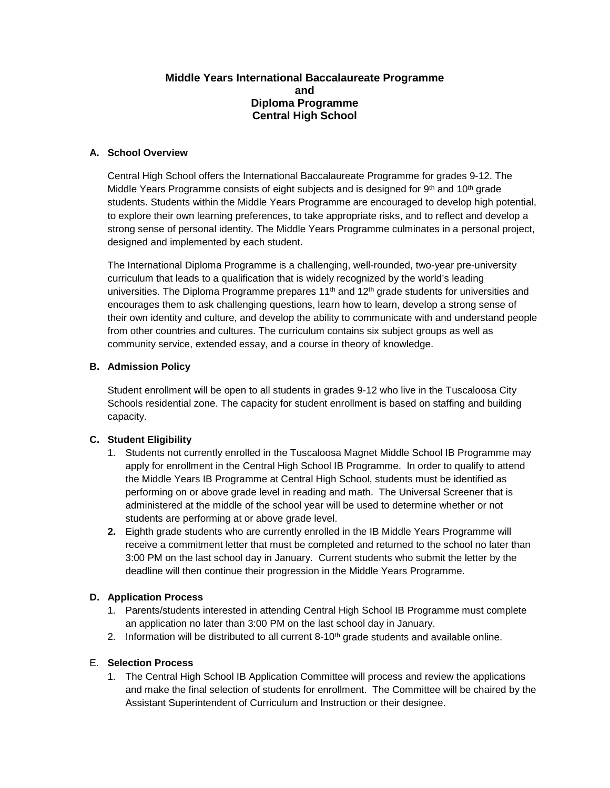## **Middle Years International Baccalaureate Programme and Diploma Programme Central High School**

#### **A. School Overview**

Central High School offers the International Baccalaureate Programme for grades 9-12. The Middle Years Programme consists of eight subjects and is designed for  $9<sup>th</sup>$  and 10<sup>th</sup> grade students. Students within the Middle Years Programme are encouraged to develop high potential, to explore their own learning preferences, to take appropriate risks, and to reflect and develop a strong sense of personal identity. The Middle Years Programme culminates in a personal project, designed and implemented by each student.

The International Diploma Programme is a challenging, well-rounded, two-year pre-university curriculum that leads to a qualification that is widely recognized by the world's leading universities. The Diploma Programme prepares  $11<sup>th</sup>$  and  $12<sup>th</sup>$  grade students for universities and encourages them to ask challenging questions, learn how to learn, develop a strong sense of their own identity and culture, and develop the ability to communicate with and understand people from other countries and cultures. The curriculum contains six subject groups as well as community service, extended essay, and a course in theory of knowledge.

### **B. Admission Policy**

Student enrollment will be open to all students in grades 9-12 who live in the Tuscaloosa City Schools residential zone. The capacity for student enrollment is based on staffing and building capacity.

### **C. Student Eligibility**

- 1. Students not currently enrolled in the Tuscaloosa Magnet Middle School IB Programme may apply for enrollment in the Central High School IB Programme. In order to qualify to attend the Middle Years IB Programme at Central High School, students must be identified as performing on or above grade level in reading and math. The Universal Screener that is administered at the middle of the school year will be used to determine whether or not students are performing at or above grade level.
- **2.** Eighth grade students who are currently enrolled in the IB Middle Years Programme will receive a commitment letter that must be completed and returned to the school no later than 3:00 PM on the last school day in January. Current students who submit the letter by the deadline will then continue their progression in the Middle Years Programme.

### **D. Application Process**

- 1. Parents/students interested in attending Central High School IB Programme must complete an application no later than 3:00 PM on the last school day in January.
- 2. Information will be distributed to all current  $8-10<sup>th</sup>$  grade students and available online.

### E. **Selection Process**

1. The Central High School IB Application Committee will process and review the applications and make the final selection of students for enrollment. The Committee will be chaired by the Assistant Superintendent of Curriculum and Instruction or their designee.